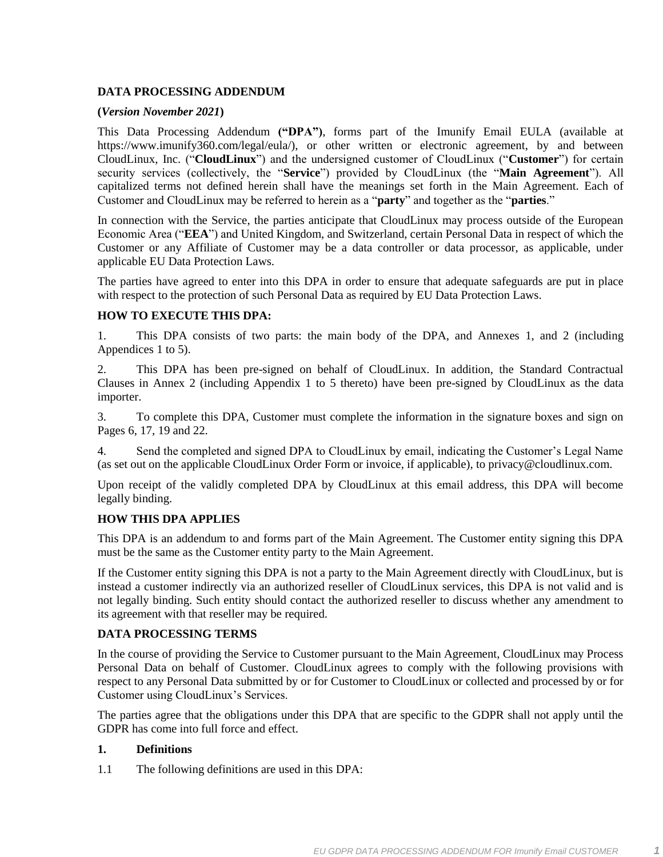## **DATA PROCESSING ADDENDUM**

### **(***Version November 2021***)**

This Data Processing Addendum **("DPA")**, forms part of the Imunify Email EULA (available at https://www.imunify360.com/legal/eula/), or other written or electronic agreement, by and between CloudLinux, Inc. ("**CloudLinux**") and the undersigned customer of CloudLinux ("**Customer**") for certain security services (collectively, the "**Service**") provided by CloudLinux (the "**Main Agreement**"). All capitalized terms not defined herein shall have the meanings set forth in the Main Agreement. Each of Customer and CloudLinux may be referred to herein as a "**party**" and together as the "**parties**."

In connection with the Service, the parties anticipate that CloudLinux may process outside of the European Economic Area ("**EEA**") and United Kingdom, and Switzerland, certain Personal Data in respect of which the Customer or any Affiliate of Customer may be a data controller or data processor, as applicable, under applicable EU Data Protection Laws.

The parties have agreed to enter into this DPA in order to ensure that adequate safeguards are put in place with respect to the protection of such Personal Data as required by EU Data Protection Laws.

### **HOW TO EXECUTE THIS DPA:**

1. This DPA consists of two parts: the main body of the DPA, and Annexes 1, and 2 (including Appendices 1 to 5).

2. This DPA has been pre-signed on behalf of CloudLinux. In addition, the Standard Contractual Clauses in Annex 2 (including Appendix 1 to 5 thereto) have been pre-signed by CloudLinux as the data importer.

3. To complete this DPA, Customer must complete the information in the signature boxes and sign on Pages 6, 17, 19 and 22.

4. Send the completed and signed DPA to CloudLinux by email, indicating the Customer's Legal Name (as set out on the applicable CloudLinux Order Form or invoice, if applicable), to privacy@cloudlinux.com.

Upon receipt of the validly completed DPA by CloudLinux at this email address, this DPA will become legally binding.

### **HOW THIS DPA APPLIES**

This DPA is an addendum to and forms part of the Main Agreement. The Customer entity signing this DPA must be the same as the Customer entity party to the Main Agreement.

If the Customer entity signing this DPA is not a party to the Main Agreement directly with CloudLinux, but is instead a customer indirectly via an authorized reseller of CloudLinux services, this DPA is not valid and is not legally binding. Such entity should contact the authorized reseller to discuss whether any amendment to its agreement with that reseller may be required.

### **DATA PROCESSING TERMS**

In the course of providing the Service to Customer pursuant to the Main Agreement, CloudLinux may Process Personal Data on behalf of Customer. CloudLinux agrees to comply with the following provisions with respect to any Personal Data submitted by or for Customer to CloudLinux or collected and processed by or for Customer using CloudLinux's Services.

The parties agree that the obligations under this DPA that are specific to the GDPR shall not apply until the GDPR has come into full force and effect.

## **1. Definitions**

1.1 The following definitions are used in this DPA: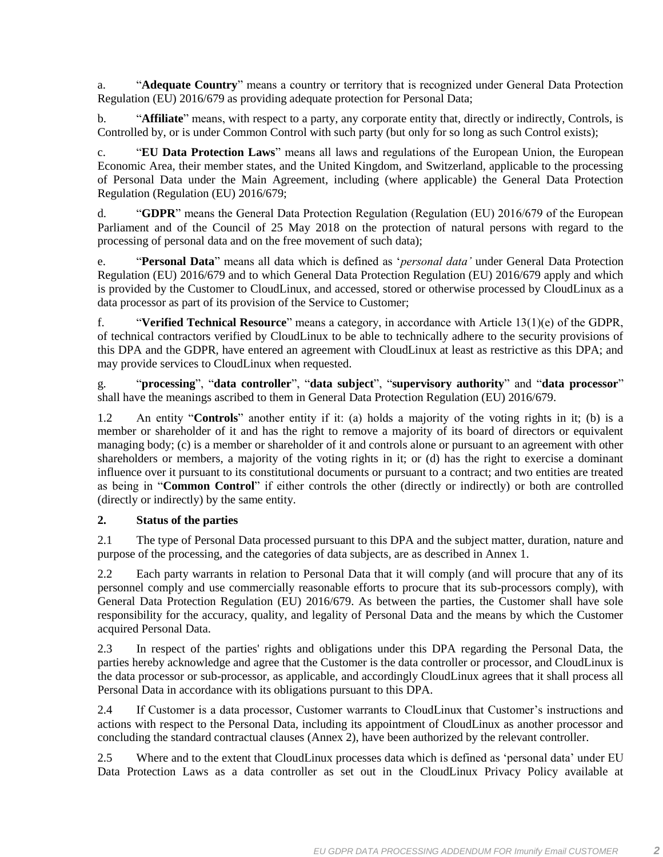a. "**Adequate Country**" means a country or territory that is recognized under General Data Protection Regulation (EU) 2016/679 as providing adequate protection for Personal Data;

b. "**Affiliate**" means, with respect to a party, any corporate entity that, directly or indirectly, Controls, is Controlled by, or is under Common Control with such party (but only for so long as such Control exists);

c. "**EU Data Protection Laws**" means all laws and regulations of the European Union, the European Economic Area, their member states, and the United Kingdom, and Switzerland, applicable to the processing of Personal Data under the Main Agreement, including (where applicable) the General Data Protection Regulation (Regulation (EU) 2016/679;

d. "**GDPR**" means the General Data Protection Regulation (Regulation (EU) 2016/679 of the European Parliament and of the Council of 25 May 2018 on the protection of natural persons with regard to the processing of personal data and on the free movement of such data);

e. "**Personal Data**" means all data which is defined as '*personal data'* under General Data Protection Regulation (EU) 2016/679 and to which General Data Protection Regulation (EU) 2016/679 apply and which is provided by the Customer to CloudLinux, and accessed, stored or otherwise processed by CloudLinux as a data processor as part of its provision of the Service to Customer;

f. "**Verified Technical Resource**" means a category, in accordance with Article 13(1)(e) of the GDPR, of technical contractors verified by CloudLinux to be able to technically adhere to the security provisions of this DPA and the GDPR, have entered an agreement with CloudLinux at least as restrictive as this DPA; and may provide services to CloudLinux when requested.

g. "**processing**", "**data controller**", "**data subject**", "**supervisory authority**" and "**data processor**" shall have the meanings ascribed to them in General Data Protection Regulation (EU) 2016/679.

1.2 An entity "**Controls**" another entity if it: (a) holds a majority of the voting rights in it; (b) is a member or shareholder of it and has the right to remove a majority of its board of directors or equivalent managing body; (c) is a member or shareholder of it and controls alone or pursuant to an agreement with other shareholders or members, a majority of the voting rights in it; or (d) has the right to exercise a dominant influence over it pursuant to its constitutional documents or pursuant to a contract; and two entities are treated as being in "**Common Control**" if either controls the other (directly or indirectly) or both are controlled (directly or indirectly) by the same entity.

# **2. Status of the parties**

2.1 The type of Personal Data processed pursuant to this DPA and the subject matter, duration, nature and purpose of the processing, and the categories of data subjects, are as described in Annex 1.

2.2 Each party warrants in relation to Personal Data that it will comply (and will procure that any of its personnel comply and use commercially reasonable efforts to procure that its sub-processors comply), with General Data Protection Regulation (EU) 2016/679. As between the parties, the Customer shall have sole responsibility for the accuracy, quality, and legality of Personal Data and the means by which the Customer acquired Personal Data.

2.3 In respect of the parties' rights and obligations under this DPA regarding the Personal Data, the parties hereby acknowledge and agree that the Customer is the data controller or processor, and CloudLinux is the data processor or sub-processor, as applicable, and accordingly CloudLinux agrees that it shall process all Personal Data in accordance with its obligations pursuant to this DPA.

2.4 If Customer is a data processor, Customer warrants to CloudLinux that Customer's instructions and actions with respect to the Personal Data, including its appointment of CloudLinux as another processor and concluding the standard contractual clauses (Annex 2), have been authorized by the relevant controller.

2.5 Where and to the extent that CloudLinux processes data which is defined as 'personal data' under EU Data Protection Laws as a data controller as set out in the CloudLinux Privacy Policy available at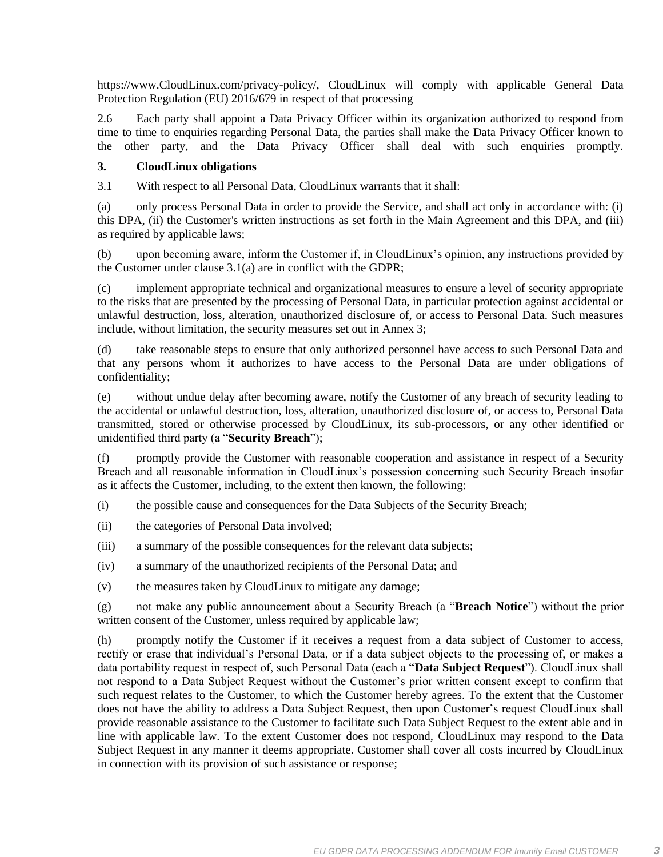https://www.CloudLinux.com/privacy-policy/, CloudLinux will comply with applicable General Data Protection Regulation (EU) 2016/679 in respect of that processing

2.6 Each party shall appoint a Data Privacy Officer within its organization authorized to respond from time to time to enquiries regarding Personal Data, the parties shall make the Data Privacy Officer known to the other party, and the Data Privacy Officer shall deal with such enquiries promptly.

## **3. CloudLinux obligations**

3.1 With respect to all Personal Data, CloudLinux warrants that it shall:

(a) only process Personal Data in order to provide the Service, and shall act only in accordance with: (i) this DPA, (ii) the Customer's written instructions as set forth in the Main Agreement and this DPA, and (iii) as required by applicable laws;

(b) upon becoming aware, inform the Customer if, in CloudLinux's opinion, any instructions provided by the Customer under clause 3.1(a) are in conflict with the GDPR;

(c) implement appropriate technical and organizational measures to ensure a level of security appropriate to the risks that are presented by the processing of Personal Data, in particular protection against accidental or unlawful destruction, loss, alteration, unauthorized disclosure of, or access to Personal Data. Such measures include, without limitation, the security measures set out in Annex 3;

(d) take reasonable steps to ensure that only authorized personnel have access to such Personal Data and that any persons whom it authorizes to have access to the Personal Data are under obligations of confidentiality;

(e) without undue delay after becoming aware, notify the Customer of any breach of security leading to the accidental or unlawful destruction, loss, alteration, unauthorized disclosure of, or access to, Personal Data transmitted, stored or otherwise processed by CloudLinux, its sub-processors, or any other identified or unidentified third party (a "**Security Breach**");

(f) promptly provide the Customer with reasonable cooperation and assistance in respect of a Security Breach and all reasonable information in CloudLinux's possession concerning such Security Breach insofar as it affects the Customer, including, to the extent then known, the following:

(i) the possible cause and consequences for the Data Subjects of the Security Breach;

(ii) the categories of Personal Data involved;

(iii) a summary of the possible consequences for the relevant data subjects;

(iv) a summary of the unauthorized recipients of the Personal Data; and

(v) the measures taken by CloudLinux to mitigate any damage;

(g) not make any public announcement about a Security Breach (a "**Breach Notice**") without the prior written consent of the Customer, unless required by applicable law;

(h) promptly notify the Customer if it receives a request from a data subject of Customer to access, rectify or erase that individual's Personal Data, or if a data subject objects to the processing of, or makes a data portability request in respect of, such Personal Data (each a "**Data Subject Request**"). CloudLinux shall not respond to a Data Subject Request without the Customer's prior written consent except to confirm that such request relates to the Customer, to which the Customer hereby agrees. To the extent that the Customer does not have the ability to address a Data Subject Request, then upon Customer's request CloudLinux shall provide reasonable assistance to the Customer to facilitate such Data Subject Request to the extent able and in line with applicable law. To the extent Customer does not respond, CloudLinux may respond to the Data Subject Request in any manner it deems appropriate. Customer shall cover all costs incurred by CloudLinux in connection with its provision of such assistance or response;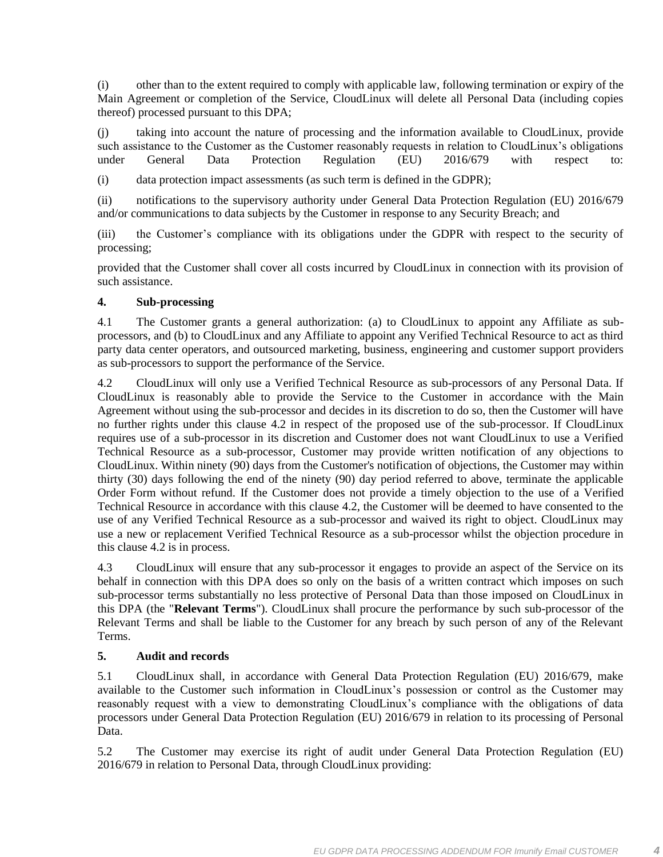(i) other than to the extent required to comply with applicable law, following termination or expiry of the Main Agreement or completion of the Service, CloudLinux will delete all Personal Data (including copies thereof) processed pursuant to this DPA;

(j) taking into account the nature of processing and the information available to CloudLinux, provide such assistance to the Customer as the Customer reasonably requests in relation to CloudLinux's obligations under General Data Protection Regulation (EU) 2016/679 with respect to:

(i) data protection impact assessments (as such term is defined in the GDPR);

(ii) notifications to the supervisory authority under General Data Protection Regulation (EU) 2016/679 and/or communications to data subjects by the Customer in response to any Security Breach; and

(iii) the Customer's compliance with its obligations under the GDPR with respect to the security of processing;

provided that the Customer shall cover all costs incurred by CloudLinux in connection with its provision of such assistance.

## **4. Sub-processing**

4.1 The Customer grants a general authorization: (a) to CloudLinux to appoint any Affiliate as subprocessors, and (b) to CloudLinux and any Affiliate to appoint any Verified Technical Resource to act as third party data center operators, and outsourced marketing, business, engineering and customer support providers as sub-processors to support the performance of the Service.

4.2 CloudLinux will only use a Verified Technical Resource as sub-processors of any Personal Data. If CloudLinux is reasonably able to provide the Service to the Customer in accordance with the Main Agreement without using the sub-processor and decides in its discretion to do so, then the Customer will have no further rights under this clause 4.2 in respect of the proposed use of the sub-processor. If CloudLinux requires use of a sub-processor in its discretion and Customer does not want CloudLinux to use a Verified Technical Resource as a sub-processor, Customer may provide written notification of any objections to CloudLinux. Within ninety (90) days from the Customer's notification of objections, the Customer may within thirty (30) days following the end of the ninety (90) day period referred to above, terminate the applicable Order Form without refund. If the Customer does not provide a timely objection to the use of a Verified Technical Resource in accordance with this clause 4.2, the Customer will be deemed to have consented to the use of any Verified Technical Resource as a sub-processor and waived its right to object. CloudLinux may use a new or replacement Verified Technical Resource as a sub-processor whilst the objection procedure in this clause 4.2 is in process.

4.3 CloudLinux will ensure that any sub-processor it engages to provide an aspect of the Service on its behalf in connection with this DPA does so only on the basis of a written contract which imposes on such sub-processor terms substantially no less protective of Personal Data than those imposed on CloudLinux in this DPA (the "**Relevant Terms**"). CloudLinux shall procure the performance by such sub-processor of the Relevant Terms and shall be liable to the Customer for any breach by such person of any of the Relevant Terms.

# **5. Audit and records**

5.1 CloudLinux shall, in accordance with General Data Protection Regulation (EU) 2016/679, make available to the Customer such information in CloudLinux's possession or control as the Customer may reasonably request with a view to demonstrating CloudLinux's compliance with the obligations of data processors under General Data Protection Regulation (EU) 2016/679 in relation to its processing of Personal Data.

5.2 The Customer may exercise its right of audit under General Data Protection Regulation (EU) 2016/679 in relation to Personal Data, through CloudLinux providing: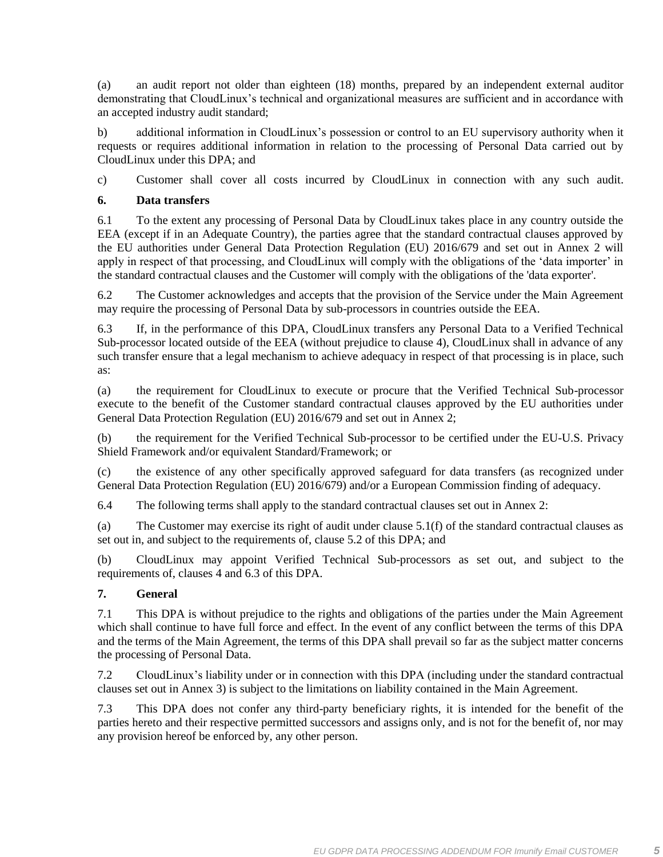(a) an audit report not older than eighteen (18) months, prepared by an independent external auditor demonstrating that CloudLinux's technical and organizational measures are sufficient and in accordance with an accepted industry audit standard;

b) additional information in CloudLinux's possession or control to an EU supervisory authority when it requests or requires additional information in relation to the processing of Personal Data carried out by CloudLinux under this DPA; and

c) Customer shall cover all costs incurred by CloudLinux in connection with any such audit.

# **6. Data transfers**

6.1 To the extent any processing of Personal Data by CloudLinux takes place in any country outside the EEA (except if in an Adequate Country), the parties agree that the standard contractual clauses approved by the EU authorities under General Data Protection Regulation (EU) 2016/679 and set out in Annex 2 will apply in respect of that processing, and CloudLinux will comply with the obligations of the 'data importer' in the standard contractual clauses and the Customer will comply with the obligations of the 'data exporter'.

6.2 The Customer acknowledges and accepts that the provision of the Service under the Main Agreement may require the processing of Personal Data by sub-processors in countries outside the EEA.

6.3 If, in the performance of this DPA, CloudLinux transfers any Personal Data to a Verified Technical Sub-processor located outside of the EEA (without prejudice to clause 4), CloudLinux shall in advance of any such transfer ensure that a legal mechanism to achieve adequacy in respect of that processing is in place, such as:

(a) the requirement for CloudLinux to execute or procure that the Verified Technical Sub-processor execute to the benefit of the Customer standard contractual clauses approved by the EU authorities under General Data Protection Regulation (EU) 2016/679 and set out in Annex 2;

(b) the requirement for the Verified Technical Sub-processor to be certified under the EU-U.S. Privacy Shield Framework and/or equivalent Standard/Framework; or

(c) the existence of any other specifically approved safeguard for data transfers (as recognized under General Data Protection Regulation (EU) 2016/679) and/or a European Commission finding of adequacy.

6.4 The following terms shall apply to the standard contractual clauses set out in Annex 2:

(a) The Customer may exercise its right of audit under clause 5.1(f) of the standard contractual clauses as set out in, and subject to the requirements of, clause 5.2 of this DPA; and

(b) CloudLinux may appoint Verified Technical Sub-processors as set out, and subject to the requirements of, clauses 4 and 6.3 of this DPA.

# **7. General**

7.1 This DPA is without prejudice to the rights and obligations of the parties under the Main Agreement which shall continue to have full force and effect. In the event of any conflict between the terms of this DPA and the terms of the Main Agreement, the terms of this DPA shall prevail so far as the subject matter concerns the processing of Personal Data.

7.2 CloudLinux's liability under or in connection with this DPA (including under the standard contractual clauses set out in Annex 3) is subject to the limitations on liability contained in the Main Agreement.

7.3 This DPA does not confer any third-party beneficiary rights, it is intended for the benefit of the parties hereto and their respective permitted successors and assigns only, and is not for the benefit of, nor may any provision hereof be enforced by, any other person.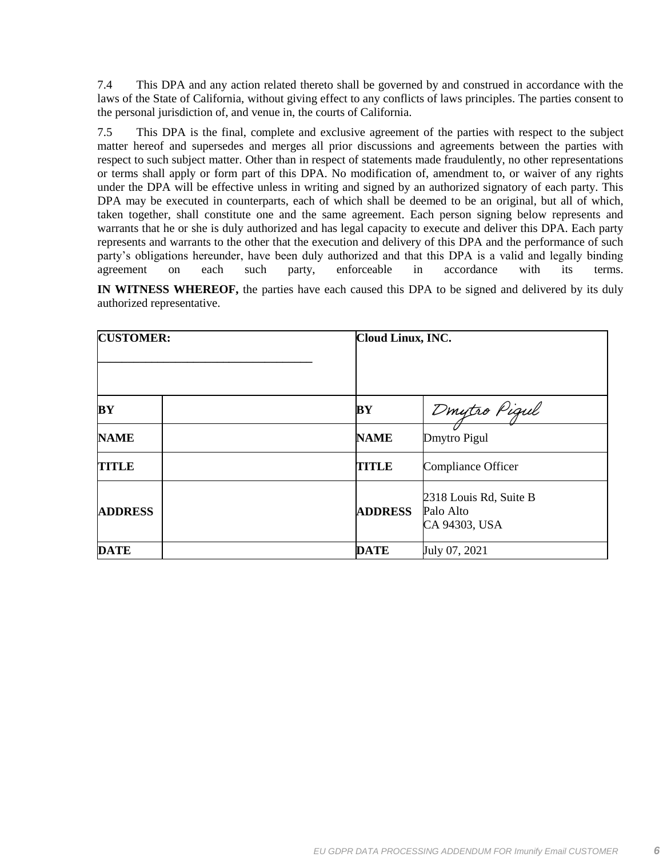7.4 This DPA and any action related thereto shall be governed by and construed in accordance with the laws of the State of California, without giving effect to any conflicts of laws principles. The parties consent to the personal jurisdiction of, and venue in, the courts of California.

7.5 This DPA is the final, complete and exclusive agreement of the parties with respect to the subject matter hereof and supersedes and merges all prior discussions and agreements between the parties with respect to such subject matter. Other than in respect of statements made fraudulently, no other representations or terms shall apply or form part of this DPA. No modification of, amendment to, or waiver of any rights under the DPA will be effective unless in writing and signed by an authorized signatory of each party. This DPA may be executed in counterparts, each of which shall be deemed to be an original, but all of which, taken together, shall constitute one and the same agreement. Each person signing below represents and warrants that he or she is duly authorized and has legal capacity to execute and deliver this DPA. Each party represents and warrants to the other that the execution and delivery of this DPA and the performance of such party's obligations hereunder, have been duly authorized and that this DPA is a valid and legally binding agreement on each such party, enforceable in accordance with its terms.

**IN WITNESS WHEREOF,** the parties have each caused this DPA to be signed and delivered by its duly authorized representative.

| <b>CUSTOMER:</b> |                | Cloud Linux, INC.                                    |  |
|------------------|----------------|------------------------------------------------------|--|
|                  |                |                                                      |  |
| <b>BY</b>        | BY             | Dmytro Pigul                                         |  |
| <b>NAME</b>      | <b>NAME</b>    | Dmytro Pigul                                         |  |
| <b>TITLE</b>     | <b>TITLE</b>   | Compliance Officer                                   |  |
| <b>ADDRESS</b>   | <b>ADDRESS</b> | 2318 Louis Rd, Suite B<br>Palo Alto<br>CA 94303, USA |  |
| <b>DATE</b>      | <b>DATE</b>    | July 07, 2021                                        |  |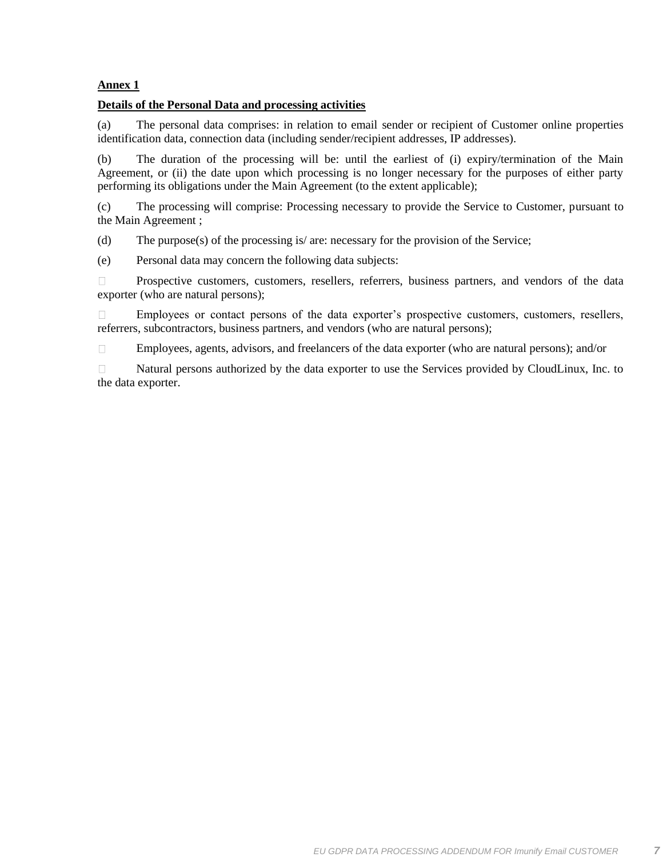## **Annex 1**

### **Details of the Personal Data and processing activities**

(a) The personal data comprises: in relation to email sender or recipient of Customer online properties identification data, connection data (including sender/recipient addresses, IP addresses).

(b) The duration of the processing will be: until the earliest of (i) expiry/termination of the Main Agreement, or (ii) the date upon which processing is no longer necessary for the purposes of either party performing its obligations under the Main Agreement (to the extent applicable);

(c) The processing will comprise: Processing necessary to provide the Service to Customer, pursuant to the Main Agreement ;

(d) The purpose(s) of the processing is/ are: necessary for the provision of the Service;

(e) Personal data may concern the following data subjects:

 $\Box$ Prospective customers, customers, resellers, referrers, business partners, and vendors of the data exporter (who are natural persons);

Employees or contact persons of the data exporter's prospective customers, customers, resellers,  $\Box$ referrers, subcontractors, business partners, and vendors (who are natural persons);

Employees, agents, advisors, and freelancers of the data exporter (who are natural persons); and/or  $\Box$ 

 $\Box$ Natural persons authorized by the data exporter to use the Services provided by CloudLinux, Inc. to the data exporter.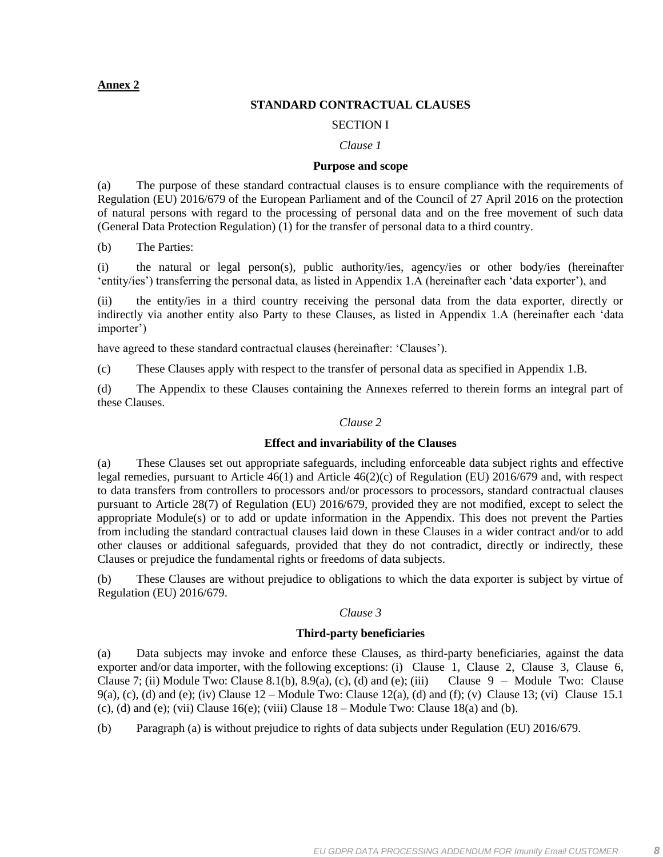#### **Annex 2**

#### **STANDARD CONTRACTUAL CLAUSES**

#### SECTION I

#### *Clause 1*

#### **Purpose and scope**

(a) The purpose of these standard contractual clauses is to ensure compliance with the requirements of Regulation (EU) 2016/679 of the European Parliament and of the Council of 27 April 2016 on the protection of natural persons with regard to the processing of personal data and on the free movement of such data (General Data Protection Regulation) (1) for the transfer of personal data to a third country.

(b) The Parties:

(i) the natural or legal person(s), public authority/ies, agency/ies or other body/ies (hereinafter 'entity/ies') transferring the personal data, as listed in Appendix 1.A (hereinafter each 'data exporter'), and

(ii) the entity/ies in a third country receiving the personal data from the data exporter, directly or indirectly via another entity also Party to these Clauses, as listed in Appendix 1.A (hereinafter each 'data importer')

have agreed to these standard contractual clauses (hereinafter: 'Clauses').

(c) These Clauses apply with respect to the transfer of personal data as specified in Appendix 1.B.

(d) The Appendix to these Clauses containing the Annexes referred to therein forms an integral part of these Clauses.

#### *Clause 2*

#### **Effect and invariability of the Clauses**

(a) These Clauses set out appropriate safeguards, including enforceable data subject rights and effective legal remedies, pursuant to Article 46(1) and Article 46(2)(c) of Regulation (EU) 2016/679 and, with respect to data transfers from controllers to processors and/or processors to processors, standard contractual clauses pursuant to Article 28(7) of Regulation (EU) 2016/679, provided they are not modified, except to select the appropriate Module(s) or to add or update information in the Appendix. This does not prevent the Parties from including the standard contractual clauses laid down in these Clauses in a wider contract and/or to add other clauses or additional safeguards, provided that they do not contradict, directly or indirectly, these Clauses or prejudice the fundamental rights or freedoms of data subjects.

(b) These Clauses are without prejudice to obligations to which the data exporter is subject by virtue of Regulation (EU) 2016/679.

#### *Clause 3*

#### **Third-party beneficiaries**

(a) Data subjects may invoke and enforce these Clauses, as third-party beneficiaries, against the data exporter and/or data importer, with the following exceptions: (i) Clause 1, Clause 2, Clause 3, Clause 6, Clause 7; (ii) Module Two: Clause 8.1(b), 8.9(a), (c), (d) and (e); (iii) Clause  $9 -$  Module Two: Clause  $9(a)$ , (c), (d) and (e); (iv) Clause  $12 -$  Module Two: Clause  $12(a)$ , (d) and (f); (v) Clause 13; (vi) Clause 15.1 (c), (d) and (e); (vii) Clause  $16(e)$ ; (viii) Clause  $18 -$  Module Two: Clause  $18(a)$  and (b).

(b) Paragraph (a) is without prejudice to rights of data subjects under Regulation (EU) 2016/679.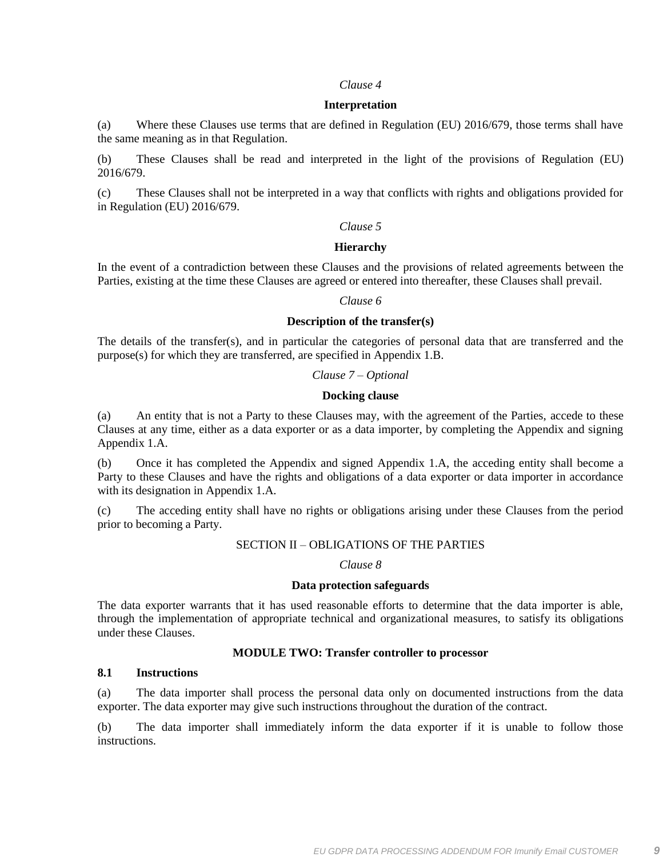#### *Clause 4*

#### **Interpretation**

(a) Where these Clauses use terms that are defined in Regulation (EU) 2016/679, those terms shall have the same meaning as in that Regulation.

(b) These Clauses shall be read and interpreted in the light of the provisions of Regulation (EU) 2016/679.

(c) These Clauses shall not be interpreted in a way that conflicts with rights and obligations provided for in Regulation (EU) 2016/679.

### *Clause 5*

#### **Hierarchy**

In the event of a contradiction between these Clauses and the provisions of related agreements between the Parties, existing at the time these Clauses are agreed or entered into thereafter, these Clauses shall prevail.

#### *Clause 6*

### **Description of the transfer(s)**

The details of the transfer(s), and in particular the categories of personal data that are transferred and the purpose(s) for which they are transferred, are specified in Appendix 1.B.

### *Clause 7 – Optional*

#### **Docking clause**

(a) An entity that is not a Party to these Clauses may, with the agreement of the Parties, accede to these Clauses at any time, either as a data exporter or as a data importer, by completing the Appendix and signing Appendix 1.A.

(b) Once it has completed the Appendix and signed Appendix 1.A, the acceding entity shall become a Party to these Clauses and have the rights and obligations of a data exporter or data importer in accordance with its designation in Appendix 1.A.

(c) The acceding entity shall have no rights or obligations arising under these Clauses from the period prior to becoming a Party.

## SECTION II – OBLIGATIONS OF THE PARTIES

#### *Clause 8*

#### **Data protection safeguards**

The data exporter warrants that it has used reasonable efforts to determine that the data importer is able, through the implementation of appropriate technical and organizational measures, to satisfy its obligations under these Clauses.

#### **MODULE TWO: Transfer controller to processor**

#### **8.1 Instructions**

(a) The data importer shall process the personal data only on documented instructions from the data exporter. The data exporter may give such instructions throughout the duration of the contract.

(b) The data importer shall immediately inform the data exporter if it is unable to follow those instructions.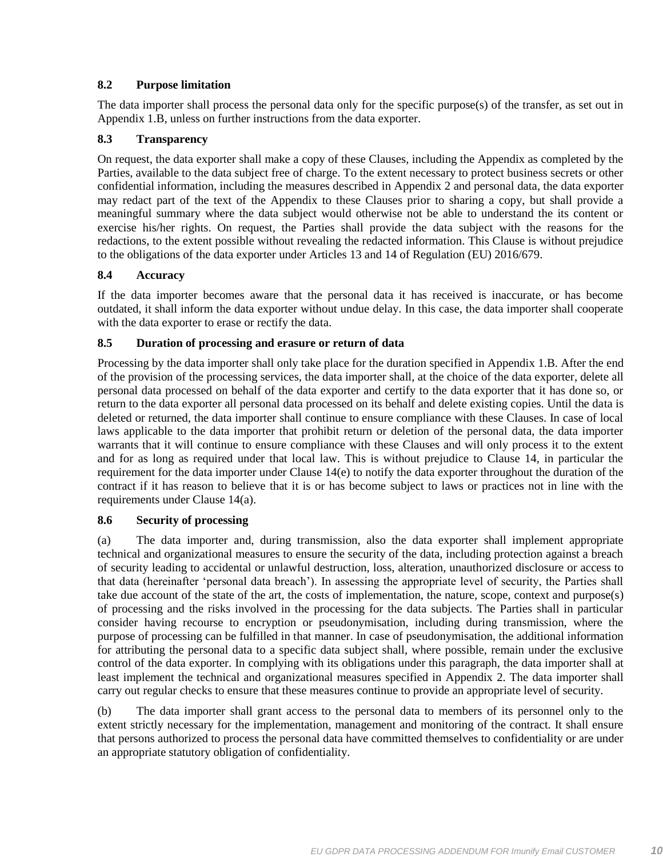# **8.2 Purpose limitation**

The data importer shall process the personal data only for the specific purpose(s) of the transfer, as set out in Appendix 1.B, unless on further instructions from the data exporter.

# **8.3 Transparency**

On request, the data exporter shall make a copy of these Clauses, including the Appendix as completed by the Parties, available to the data subject free of charge. To the extent necessary to protect business secrets or other confidential information, including the measures described in Appendix 2 and personal data, the data exporter may redact part of the text of the Appendix to these Clauses prior to sharing a copy, but shall provide a meaningful summary where the data subject would otherwise not be able to understand the its content or exercise his/her rights. On request, the Parties shall provide the data subject with the reasons for the redactions, to the extent possible without revealing the redacted information. This Clause is without prejudice to the obligations of the data exporter under Articles 13 and 14 of Regulation (EU) 2016/679.

## **8.4 Accuracy**

If the data importer becomes aware that the personal data it has received is inaccurate, or has become outdated, it shall inform the data exporter without undue delay. In this case, the data importer shall cooperate with the data exporter to erase or rectify the data.

## **8.5 Duration of processing and erasure or return of data**

Processing by the data importer shall only take place for the duration specified in Appendix 1.B. After the end of the provision of the processing services, the data importer shall, at the choice of the data exporter, delete all personal data processed on behalf of the data exporter and certify to the data exporter that it has done so, or return to the data exporter all personal data processed on its behalf and delete existing copies. Until the data is deleted or returned, the data importer shall continue to ensure compliance with these Clauses. In case of local laws applicable to the data importer that prohibit return or deletion of the personal data, the data importer warrants that it will continue to ensure compliance with these Clauses and will only process it to the extent and for as long as required under that local law. This is without prejudice to Clause 14, in particular the requirement for the data importer under Clause 14(e) to notify the data exporter throughout the duration of the contract if it has reason to believe that it is or has become subject to laws or practices not in line with the requirements under Clause 14(a).

### **8.6 Security of processing**

(a) The data importer and, during transmission, also the data exporter shall implement appropriate technical and organizational measures to ensure the security of the data, including protection against a breach of security leading to accidental or unlawful destruction, loss, alteration, unauthorized disclosure or access to that data (hereinafter 'personal data breach'). In assessing the appropriate level of security, the Parties shall take due account of the state of the art, the costs of implementation, the nature, scope, context and purpose(s) of processing and the risks involved in the processing for the data subjects. The Parties shall in particular consider having recourse to encryption or pseudonymisation, including during transmission, where the purpose of processing can be fulfilled in that manner. In case of pseudonymisation, the additional information for attributing the personal data to a specific data subject shall, where possible, remain under the exclusive control of the data exporter. In complying with its obligations under this paragraph, the data importer shall at least implement the technical and organizational measures specified in Appendix 2. The data importer shall carry out regular checks to ensure that these measures continue to provide an appropriate level of security.

(b) The data importer shall grant access to the personal data to members of its personnel only to the extent strictly necessary for the implementation, management and monitoring of the contract. It shall ensure that persons authorized to process the personal data have committed themselves to confidentiality or are under an appropriate statutory obligation of confidentiality.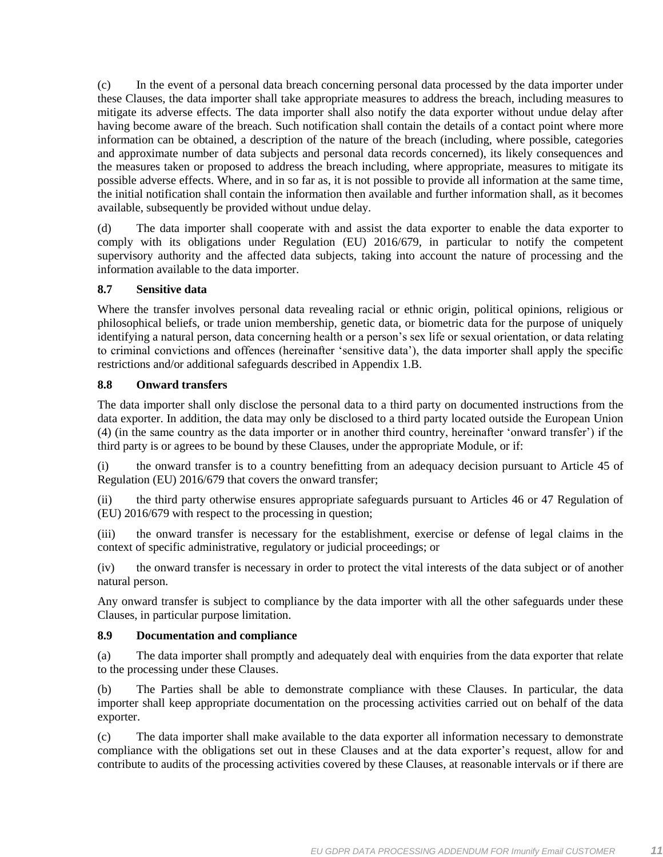(c) In the event of a personal data breach concerning personal data processed by the data importer under these Clauses, the data importer shall take appropriate measures to address the breach, including measures to mitigate its adverse effects. The data importer shall also notify the data exporter without undue delay after having become aware of the breach. Such notification shall contain the details of a contact point where more information can be obtained, a description of the nature of the breach (including, where possible, categories and approximate number of data subjects and personal data records concerned), its likely consequences and the measures taken or proposed to address the breach including, where appropriate, measures to mitigate its possible adverse effects. Where, and in so far as, it is not possible to provide all information at the same time, the initial notification shall contain the information then available and further information shall, as it becomes available, subsequently be provided without undue delay.

(d) The data importer shall cooperate with and assist the data exporter to enable the data exporter to comply with its obligations under Regulation (EU) 2016/679, in particular to notify the competent supervisory authority and the affected data subjects, taking into account the nature of processing and the information available to the data importer.

## **8.7 Sensitive data**

Where the transfer involves personal data revealing racial or ethnic origin, political opinions, religious or philosophical beliefs, or trade union membership, genetic data, or biometric data for the purpose of uniquely identifying a natural person, data concerning health or a person's sex life or sexual orientation, or data relating to criminal convictions and offences (hereinafter 'sensitive data'), the data importer shall apply the specific restrictions and/or additional safeguards described in Appendix 1.B.

## **8.8 Onward transfers**

The data importer shall only disclose the personal data to a third party on documented instructions from the data exporter. In addition, the data may only be disclosed to a third party located outside the European Union (4) (in the same country as the data importer or in another third country, hereinafter 'onward transfer') if the third party is or agrees to be bound by these Clauses, under the appropriate Module, or if:

(i) the onward transfer is to a country benefitting from an adequacy decision pursuant to Article 45 of Regulation (EU) 2016/679 that covers the onward transfer;

(ii) the third party otherwise ensures appropriate safeguards pursuant to Articles 46 or 47 Regulation of (EU) 2016/679 with respect to the processing in question;

(iii) the onward transfer is necessary for the establishment, exercise or defense of legal claims in the context of specific administrative, regulatory or judicial proceedings; or

(iv) the onward transfer is necessary in order to protect the vital interests of the data subject or of another natural person.

Any onward transfer is subject to compliance by the data importer with all the other safeguards under these Clauses, in particular purpose limitation.

### **8.9 Documentation and compliance**

(a) The data importer shall promptly and adequately deal with enquiries from the data exporter that relate to the processing under these Clauses.

(b) The Parties shall be able to demonstrate compliance with these Clauses. In particular, the data importer shall keep appropriate documentation on the processing activities carried out on behalf of the data exporter.

(c) The data importer shall make available to the data exporter all information necessary to demonstrate compliance with the obligations set out in these Clauses and at the data exporter's request, allow for and contribute to audits of the processing activities covered by these Clauses, at reasonable intervals or if there are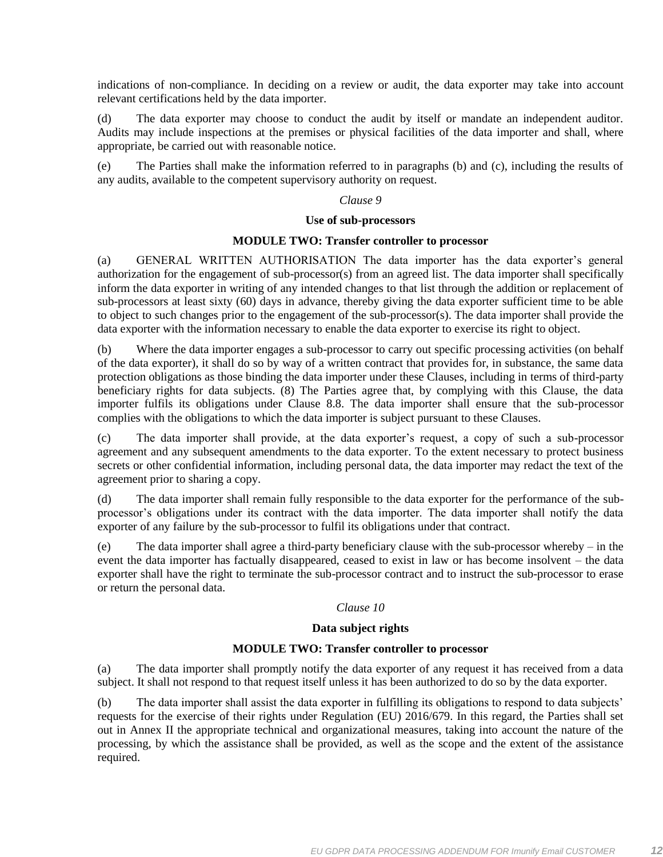indications of non-compliance. In deciding on a review or audit, the data exporter may take into account relevant certifications held by the data importer.

(d) The data exporter may choose to conduct the audit by itself or mandate an independent auditor. Audits may include inspections at the premises or physical facilities of the data importer and shall, where appropriate, be carried out with reasonable notice.

(e) The Parties shall make the information referred to in paragraphs (b) and (c), including the results of any audits, available to the competent supervisory authority on request.

#### *Clause 9*

#### **Use of sub-processors**

### **MODULE TWO: Transfer controller to processor**

(a) GENERAL WRITTEN AUTHORISATION The data importer has the data exporter's general authorization for the engagement of sub-processor(s) from an agreed list. The data importer shall specifically inform the data exporter in writing of any intended changes to that list through the addition or replacement of sub-processors at least sixty (60) days in advance, thereby giving the data exporter sufficient time to be able to object to such changes prior to the engagement of the sub-processor(s). The data importer shall provide the data exporter with the information necessary to enable the data exporter to exercise its right to object.

(b) Where the data importer engages a sub-processor to carry out specific processing activities (on behalf of the data exporter), it shall do so by way of a written contract that provides for, in substance, the same data protection obligations as those binding the data importer under these Clauses, including in terms of third-party beneficiary rights for data subjects. (8) The Parties agree that, by complying with this Clause, the data importer fulfils its obligations under Clause 8.8. The data importer shall ensure that the sub-processor complies with the obligations to which the data importer is subject pursuant to these Clauses.

(c) The data importer shall provide, at the data exporter's request, a copy of such a sub-processor agreement and any subsequent amendments to the data exporter. To the extent necessary to protect business secrets or other confidential information, including personal data, the data importer may redact the text of the agreement prior to sharing a copy.

(d) The data importer shall remain fully responsible to the data exporter for the performance of the subprocessor's obligations under its contract with the data importer. The data importer shall notify the data exporter of any failure by the sub-processor to fulfil its obligations under that contract.

(e) The data importer shall agree a third-party beneficiary clause with the sub-processor whereby – in the event the data importer has factually disappeared, ceased to exist in law or has become insolvent – the data exporter shall have the right to terminate the sub-processor contract and to instruct the sub-processor to erase or return the personal data.

### *Clause 10*

### **Data subject rights**

### **MODULE TWO: Transfer controller to processor**

(a) The data importer shall promptly notify the data exporter of any request it has received from a data subject. It shall not respond to that request itself unless it has been authorized to do so by the data exporter.

(b) The data importer shall assist the data exporter in fulfilling its obligations to respond to data subjects' requests for the exercise of their rights under Regulation (EU) 2016/679. In this regard, the Parties shall set out in Annex II the appropriate technical and organizational measures, taking into account the nature of the processing, by which the assistance shall be provided, as well as the scope and the extent of the assistance required.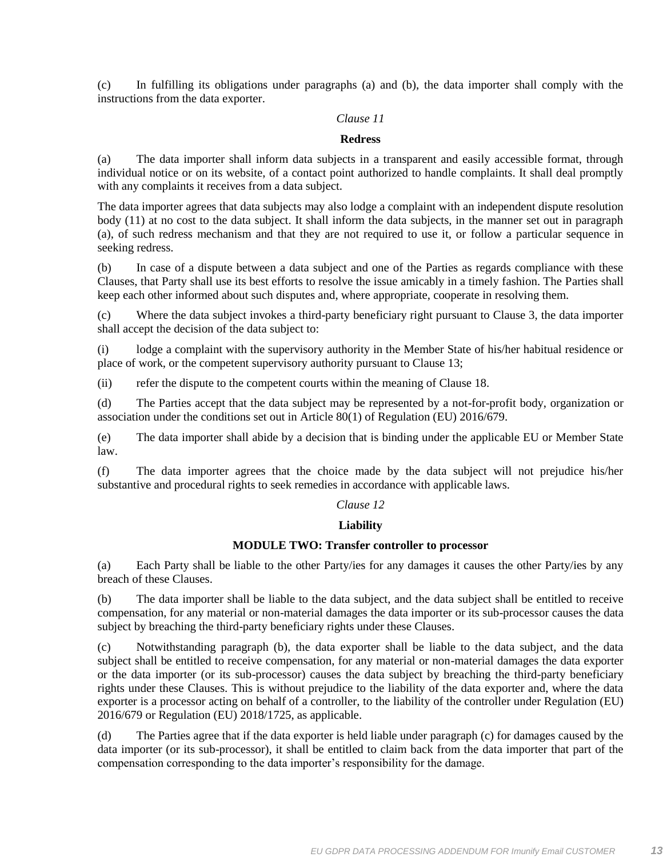(c) In fulfilling its obligations under paragraphs (a) and (b), the data importer shall comply with the instructions from the data exporter.

### *Clause 11*

#### **Redress**

(a) The data importer shall inform data subjects in a transparent and easily accessible format, through individual notice or on its website, of a contact point authorized to handle complaints. It shall deal promptly with any complaints it receives from a data subject.

The data importer agrees that data subjects may also lodge a complaint with an independent dispute resolution body (11) at no cost to the data subject. It shall inform the data subjects, in the manner set out in paragraph (a), of such redress mechanism and that they are not required to use it, or follow a particular sequence in seeking redress.

(b) In case of a dispute between a data subject and one of the Parties as regards compliance with these Clauses, that Party shall use its best efforts to resolve the issue amicably in a timely fashion. The Parties shall keep each other informed about such disputes and, where appropriate, cooperate in resolving them.

(c) Where the data subject invokes a third-party beneficiary right pursuant to Clause 3, the data importer shall accept the decision of the data subject to:

(i) lodge a complaint with the supervisory authority in the Member State of his/her habitual residence or place of work, or the competent supervisory authority pursuant to Clause 13;

(ii) refer the dispute to the competent courts within the meaning of Clause 18.

(d) The Parties accept that the data subject may be represented by a not-for-profit body, organization or association under the conditions set out in Article 80(1) of Regulation (EU) 2016/679.

(e) The data importer shall abide by a decision that is binding under the applicable EU or Member State law.

(f) The data importer agrees that the choice made by the data subject will not prejudice his/her substantive and procedural rights to seek remedies in accordance with applicable laws.

## *Clause 12*

# **Liability**

### **MODULE TWO: Transfer controller to processor**

(a) Each Party shall be liable to the other Party/ies for any damages it causes the other Party/ies by any breach of these Clauses.

(b) The data importer shall be liable to the data subject, and the data subject shall be entitled to receive compensation, for any material or non-material damages the data importer or its sub-processor causes the data subject by breaching the third-party beneficiary rights under these Clauses.

(c) Notwithstanding paragraph (b), the data exporter shall be liable to the data subject, and the data subject shall be entitled to receive compensation, for any material or non-material damages the data exporter or the data importer (or its sub-processor) causes the data subject by breaching the third-party beneficiary rights under these Clauses. This is without prejudice to the liability of the data exporter and, where the data exporter is a processor acting on behalf of a controller, to the liability of the controller under Regulation (EU) 2016/679 or Regulation (EU) 2018/1725, as applicable.

(d) The Parties agree that if the data exporter is held liable under paragraph (c) for damages caused by the data importer (or its sub-processor), it shall be entitled to claim back from the data importer that part of the compensation corresponding to the data importer's responsibility for the damage.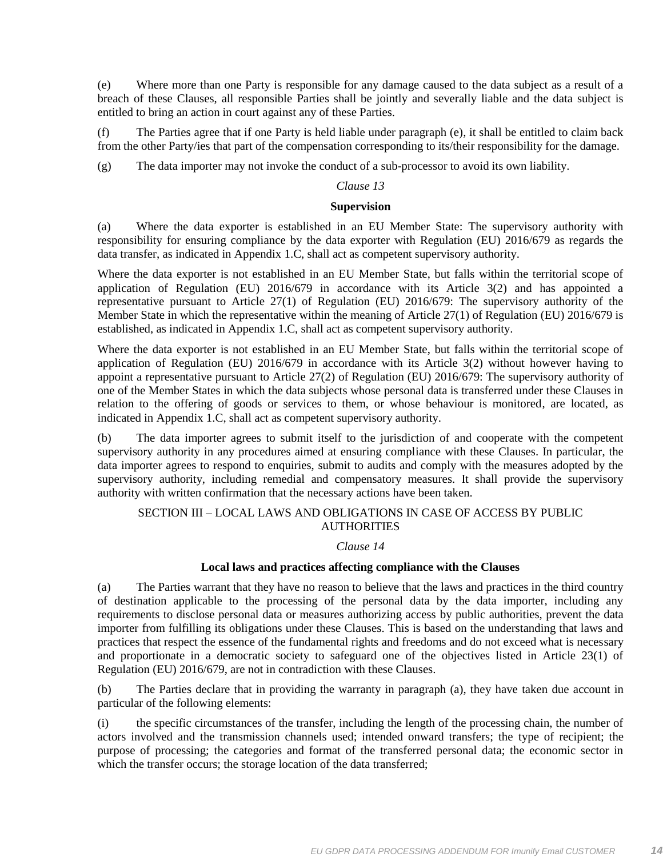(e) Where more than one Party is responsible for any damage caused to the data subject as a result of a breach of these Clauses, all responsible Parties shall be jointly and severally liable and the data subject is entitled to bring an action in court against any of these Parties.

(f) The Parties agree that if one Party is held liable under paragraph (e), it shall be entitled to claim back from the other Party/ies that part of the compensation corresponding to its/their responsibility for the damage.

(g) The data importer may not invoke the conduct of a sub-processor to avoid its own liability.

### *Clause 13*

### **Supervision**

(a) Where the data exporter is established in an EU Member State: The supervisory authority with responsibility for ensuring compliance by the data exporter with Regulation (EU) 2016/679 as regards the data transfer, as indicated in Appendix 1.C, shall act as competent supervisory authority.

Where the data exporter is not established in an EU Member State, but falls within the territorial scope of application of Regulation (EU) 2016/679 in accordance with its Article 3(2) and has appointed a representative pursuant to Article 27(1) of Regulation (EU) 2016/679: The supervisory authority of the Member State in which the representative within the meaning of Article 27(1) of Regulation (EU) 2016/679 is established, as indicated in Appendix 1.C, shall act as competent supervisory authority.

Where the data exporter is not established in an EU Member State, but falls within the territorial scope of application of Regulation (EU) 2016/679 in accordance with its Article 3(2) without however having to appoint a representative pursuant to Article 27(2) of Regulation (EU) 2016/679: The supervisory authority of one of the Member States in which the data subjects whose personal data is transferred under these Clauses in relation to the offering of goods or services to them, or whose behaviour is monitored, are located, as indicated in Appendix 1.C, shall act as competent supervisory authority.

(b) The data importer agrees to submit itself to the jurisdiction of and cooperate with the competent supervisory authority in any procedures aimed at ensuring compliance with these Clauses. In particular, the data importer agrees to respond to enquiries, submit to audits and comply with the measures adopted by the supervisory authority, including remedial and compensatory measures. It shall provide the supervisory authority with written confirmation that the necessary actions have been taken.

# SECTION III – LOCAL LAWS AND OBLIGATIONS IN CASE OF ACCESS BY PUBLIC **AUTHORITIES**

### *Clause 14*

### **Local laws and practices affecting compliance with the Clauses**

(a) The Parties warrant that they have no reason to believe that the laws and practices in the third country of destination applicable to the processing of the personal data by the data importer, including any requirements to disclose personal data or measures authorizing access by public authorities, prevent the data importer from fulfilling its obligations under these Clauses. This is based on the understanding that laws and practices that respect the essence of the fundamental rights and freedoms and do not exceed what is necessary and proportionate in a democratic society to safeguard one of the objectives listed in Article 23(1) of Regulation (EU) 2016/679, are not in contradiction with these Clauses.

(b) The Parties declare that in providing the warranty in paragraph (a), they have taken due account in particular of the following elements:

(i) the specific circumstances of the transfer, including the length of the processing chain, the number of actors involved and the transmission channels used; intended onward transfers; the type of recipient; the purpose of processing; the categories and format of the transferred personal data; the economic sector in which the transfer occurs; the storage location of the data transferred;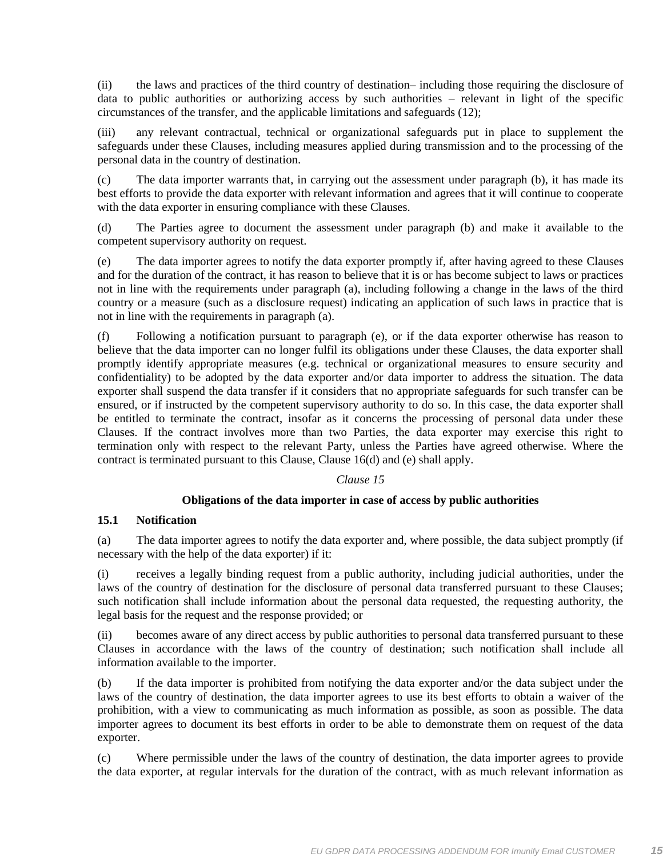(ii) the laws and practices of the third country of destination– including those requiring the disclosure of data to public authorities or authorizing access by such authorities – relevant in light of the specific circumstances of the transfer, and the applicable limitations and safeguards (12);

(iii) any relevant contractual, technical or organizational safeguards put in place to supplement the safeguards under these Clauses, including measures applied during transmission and to the processing of the personal data in the country of destination.

(c) The data importer warrants that, in carrying out the assessment under paragraph (b), it has made its best efforts to provide the data exporter with relevant information and agrees that it will continue to cooperate with the data exporter in ensuring compliance with these Clauses.

(d) The Parties agree to document the assessment under paragraph (b) and make it available to the competent supervisory authority on request.

(e) The data importer agrees to notify the data exporter promptly if, after having agreed to these Clauses and for the duration of the contract, it has reason to believe that it is or has become subject to laws or practices not in line with the requirements under paragraph (a), including following a change in the laws of the third country or a measure (such as a disclosure request) indicating an application of such laws in practice that is not in line with the requirements in paragraph (a).

(f) Following a notification pursuant to paragraph (e), or if the data exporter otherwise has reason to believe that the data importer can no longer fulfil its obligations under these Clauses, the data exporter shall promptly identify appropriate measures (e.g. technical or organizational measures to ensure security and confidentiality) to be adopted by the data exporter and/or data importer to address the situation. The data exporter shall suspend the data transfer if it considers that no appropriate safeguards for such transfer can be ensured, or if instructed by the competent supervisory authority to do so. In this case, the data exporter shall be entitled to terminate the contract, insofar as it concerns the processing of personal data under these Clauses. If the contract involves more than two Parties, the data exporter may exercise this right to termination only with respect to the relevant Party, unless the Parties have agreed otherwise. Where the contract is terminated pursuant to this Clause, Clause 16(d) and (e) shall apply.

### *Clause 15*

### **Obligations of the data importer in case of access by public authorities**

### **15.1 Notification**

(a) The data importer agrees to notify the data exporter and, where possible, the data subject promptly (if necessary with the help of the data exporter) if it:

(i) receives a legally binding request from a public authority, including judicial authorities, under the laws of the country of destination for the disclosure of personal data transferred pursuant to these Clauses; such notification shall include information about the personal data requested, the requesting authority, the legal basis for the request and the response provided; or

(ii) becomes aware of any direct access by public authorities to personal data transferred pursuant to these Clauses in accordance with the laws of the country of destination; such notification shall include all information available to the importer.

(b) If the data importer is prohibited from notifying the data exporter and/or the data subject under the laws of the country of destination, the data importer agrees to use its best efforts to obtain a waiver of the prohibition, with a view to communicating as much information as possible, as soon as possible. The data importer agrees to document its best efforts in order to be able to demonstrate them on request of the data exporter.

(c) Where permissible under the laws of the country of destination, the data importer agrees to provide the data exporter, at regular intervals for the duration of the contract, with as much relevant information as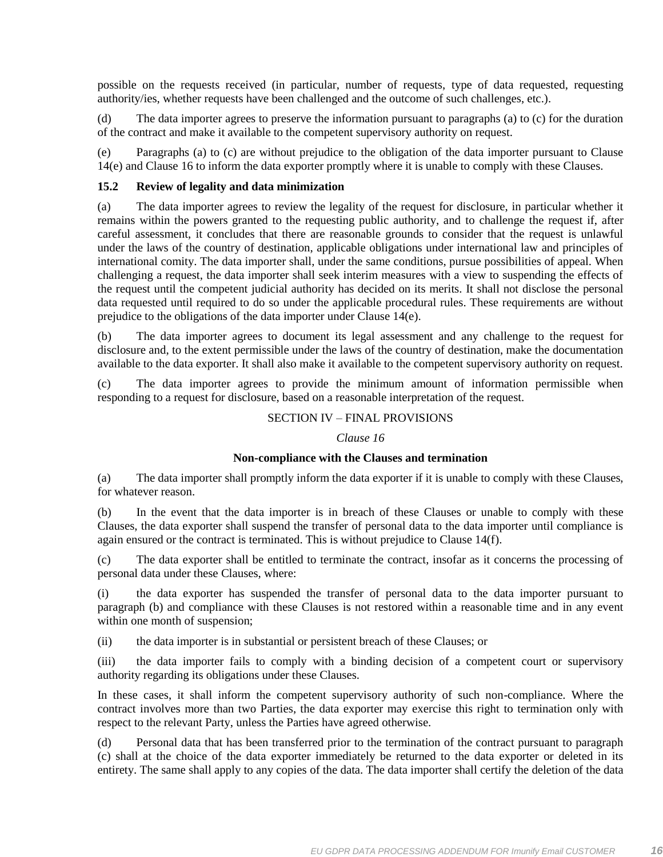possible on the requests received (in particular, number of requests, type of data requested, requesting authority/ies, whether requests have been challenged and the outcome of such challenges, etc.).

(d) The data importer agrees to preserve the information pursuant to paragraphs (a) to (c) for the duration of the contract and make it available to the competent supervisory authority on request.

(e) Paragraphs (a) to (c) are without prejudice to the obligation of the data importer pursuant to Clause 14(e) and Clause 16 to inform the data exporter promptly where it is unable to comply with these Clauses.

## **15.2 Review of legality and data minimization**

(a) The data importer agrees to review the legality of the request for disclosure, in particular whether it remains within the powers granted to the requesting public authority, and to challenge the request if, after careful assessment, it concludes that there are reasonable grounds to consider that the request is unlawful under the laws of the country of destination, applicable obligations under international law and principles of international comity. The data importer shall, under the same conditions, pursue possibilities of appeal. When challenging a request, the data importer shall seek interim measures with a view to suspending the effects of the request until the competent judicial authority has decided on its merits. It shall not disclose the personal data requested until required to do so under the applicable procedural rules. These requirements are without prejudice to the obligations of the data importer under Clause 14(e).

(b) The data importer agrees to document its legal assessment and any challenge to the request for disclosure and, to the extent permissible under the laws of the country of destination, make the documentation available to the data exporter. It shall also make it available to the competent supervisory authority on request.

(c) The data importer agrees to provide the minimum amount of information permissible when responding to a request for disclosure, based on a reasonable interpretation of the request.

## SECTION IV – FINAL PROVISIONS

*Clause 16*

### **Non-compliance with the Clauses and termination**

(a) The data importer shall promptly inform the data exporter if it is unable to comply with these Clauses, for whatever reason.

(b) In the event that the data importer is in breach of these Clauses or unable to comply with these Clauses, the data exporter shall suspend the transfer of personal data to the data importer until compliance is again ensured or the contract is terminated. This is without prejudice to Clause 14(f).

(c) The data exporter shall be entitled to terminate the contract, insofar as it concerns the processing of personal data under these Clauses, where:

(i) the data exporter has suspended the transfer of personal data to the data importer pursuant to paragraph (b) and compliance with these Clauses is not restored within a reasonable time and in any event within one month of suspension;

(ii) the data importer is in substantial or persistent breach of these Clauses; or

(iii) the data importer fails to comply with a binding decision of a competent court or supervisory authority regarding its obligations under these Clauses.

In these cases, it shall inform the competent supervisory authority of such non-compliance. Where the contract involves more than two Parties, the data exporter may exercise this right to termination only with respect to the relevant Party, unless the Parties have agreed otherwise.

(d) Personal data that has been transferred prior to the termination of the contract pursuant to paragraph (c) shall at the choice of the data exporter immediately be returned to the data exporter or deleted in its entirety. The same shall apply to any copies of the data. The data importer shall certify the deletion of the data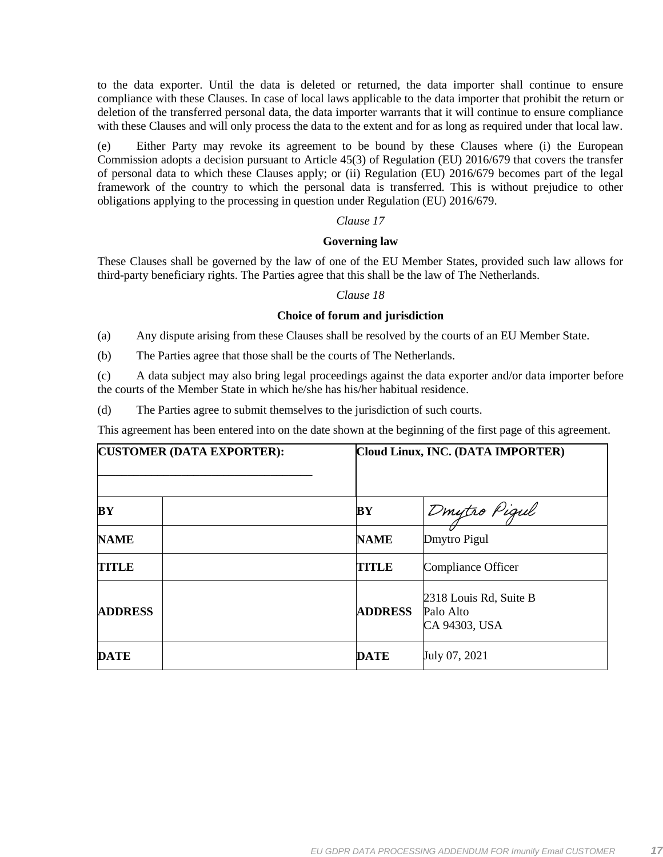to the data exporter. Until the data is deleted or returned, the data importer shall continue to ensure compliance with these Clauses. In case of local laws applicable to the data importer that prohibit the return or deletion of the transferred personal data, the data importer warrants that it will continue to ensure compliance with these Clauses and will only process the data to the extent and for as long as required under that local law.

(e) Either Party may revoke its agreement to be bound by these Clauses where (i) the European Commission adopts a decision pursuant to Article 45(3) of Regulation (EU) 2016/679 that covers the transfer of personal data to which these Clauses apply; or (ii) Regulation (EU) 2016/679 becomes part of the legal framework of the country to which the personal data is transferred. This is without prejudice to other obligations applying to the processing in question under Regulation (EU) 2016/679.

### *Clause 17*

### **Governing law**

These Clauses shall be governed by the law of one of the EU Member States, provided such law allows for third-party beneficiary rights. The Parties agree that this shall be the law of The Netherlands.

### *Clause 18*

### **Choice of forum and jurisdiction**

(a) Any dispute arising from these Clauses shall be resolved by the courts of an EU Member State.

(b) The Parties agree that those shall be the courts of The Netherlands.

(c) A data subject may also bring legal proceedings against the data exporter and/or data importer before the courts of the Member State in which he/she has his/her habitual residence.

(d) The Parties agree to submit themselves to the jurisdiction of such courts.

This agreement has been entered into on the date shown at the beginning of the first page of this agreement.

| <b>CUSTOMER (DATA EXPORTER):</b> |                | Cloud Linux, INC. (DATA IMPORTER)                    |  |
|----------------------------------|----------------|------------------------------------------------------|--|
| <b>BY</b>                        | <b>BY</b>      | Dmytro Pigul                                         |  |
| <b>NAME</b>                      | <b>NAME</b>    | Dmytro Pigul                                         |  |
| <b>TITLE</b>                     | TITLE          | Compliance Officer                                   |  |
| <b>ADDRESS</b>                   | <b>ADDRESS</b> | 2318 Louis Rd, Suite B<br>Palo Alto<br>CA 94303, USA |  |
| <b>DATE</b>                      | <b>DATE</b>    | July 07, 2021                                        |  |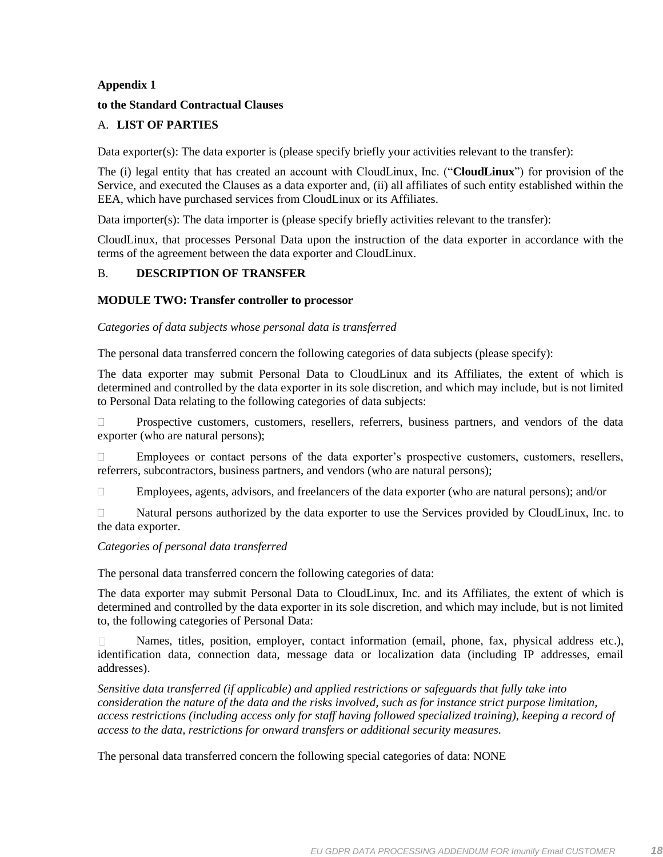## **Appendix 1**

## **to the Standard Contractual Clauses**

# A. **LIST OF PARTIES**

Data exporter(s): The data exporter is (please specify briefly your activities relevant to the transfer):

The (i) legal entity that has created an account with CloudLinux, Inc. ("**CloudLinux**") for provision of the Service, and executed the Clauses as a data exporter and, (ii) all affiliates of such entity established within the EEA, which have purchased services from CloudLinux or its Affiliates.

Data importer(s): The data importer is (please specify briefly activities relevant to the transfer):

CloudLinux, that processes Personal Data upon the instruction of the data exporter in accordance with the terms of the agreement between the data exporter and CloudLinux.

# B. **DESCRIPTION OF TRANSFER**

### **MODULE TWO: Transfer controller to processor**

*Categories of data subjects whose personal data is transferred*

The personal data transferred concern the following categories of data subjects (please specify):

The data exporter may submit Personal Data to CloudLinux and its Affiliates, the extent of which is determined and controlled by the data exporter in its sole discretion, and which may include, but is not limited to Personal Data relating to the following categories of data subjects:

Prospective customers, customers, resellers, referrers, business partners, and vendors of the data exporter (who are natural persons);

 Employees or contact persons of the data exporter's prospective customers, customers, resellers, referrers, subcontractors, business partners, and vendors (who are natural persons);

 $\Box$  Employees, agents, advisors, and freelancers of the data exporter (who are natural persons); and/or

 $\Box$  Natural persons authorized by the data exporter to use the Services provided by CloudLinux, Inc. to the data exporter.

#### *Categories of personal data transferred*

The personal data transferred concern the following categories of data:

The data exporter may submit Personal Data to CloudLinux, Inc. and its Affiliates, the extent of which is determined and controlled by the data exporter in its sole discretion, and which may include, but is not limited to, the following categories of Personal Data:

 $\Box$ Names, titles, position, employer, contact information (email, phone, fax, physical address etc.), identification data, connection data, message data or localization data (including IP addresses, email addresses).

*Sensitive data transferred (if applicable) and applied restrictions or safeguards that fully take into consideration the nature of the data and the risks involved, such as for instance strict purpose limitation, access restrictions (including access only for staff having followed specialized training), keeping a record of access to the data, restrictions for onward transfers or additional security measures.*

The personal data transferred concern the following special categories of data: NONE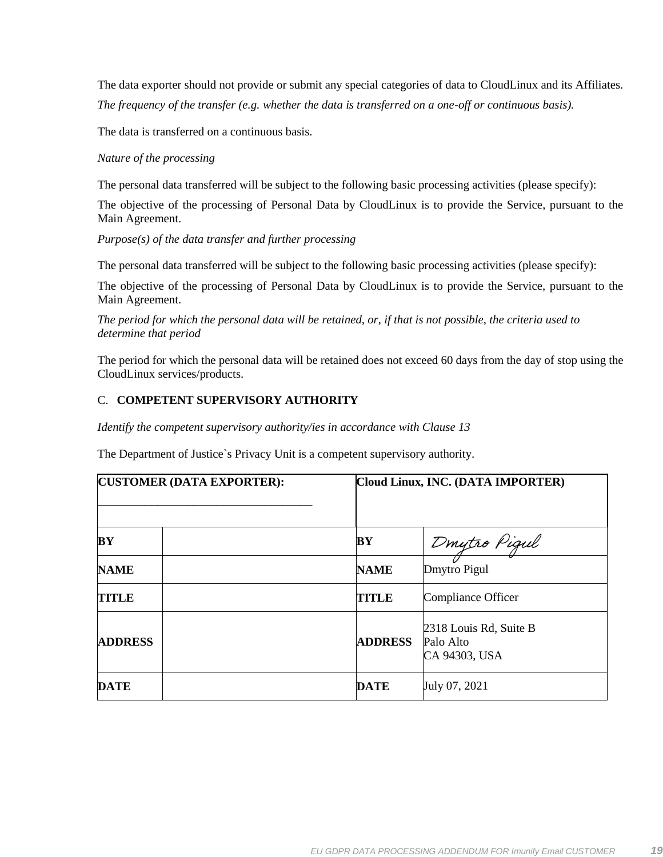The data exporter should not provide or submit any special categories of data to CloudLinux and its Affiliates. *The frequency of the transfer (e.g. whether the data is transferred on a one-off or continuous basis).* 

The data is transferred on a continuous basis.

### *Nature of the processing*

The personal data transferred will be subject to the following basic processing activities (please specify):

The objective of the processing of Personal Data by CloudLinux is to provide the Service, pursuant to the Main Agreement.

*Purpose(s) of the data transfer and further processing* 

The personal data transferred will be subject to the following basic processing activities (please specify):

The objective of the processing of Personal Data by CloudLinux is to provide the Service, pursuant to the Main Agreement.

*The period for which the personal data will be retained, or, if that is not possible, the criteria used to determine that period* 

The period for which the personal data will be retained does not exceed 60 days from the day of stop using the CloudLinux services/products.

### C. **COMPETENT SUPERVISORY AUTHORITY**

*Identify the competent supervisory authority/ies in accordance with Clause 13* 

The Department of Justice`s Privacy Unit is a competent supervisory authority.

| <b>CUSTOMER (DATA EXPORTER):</b> |                | Cloud Linux, INC. (DATA IMPORTER)                    |  |
|----------------------------------|----------------|------------------------------------------------------|--|
| BY                               | BY             | Dmytro Pigul                                         |  |
| <b>NAME</b>                      | <b>NAME</b>    | Dmytro Pigul                                         |  |
| TITLE                            | TITLE          | Compliance Officer                                   |  |
| <b>ADDRESS</b>                   | <b>ADDRESS</b> | 2318 Louis Rd, Suite B<br>Palo Alto<br>CA 94303, USA |  |
| <b>DATE</b>                      | <b>DATE</b>    | July 07, 2021                                        |  |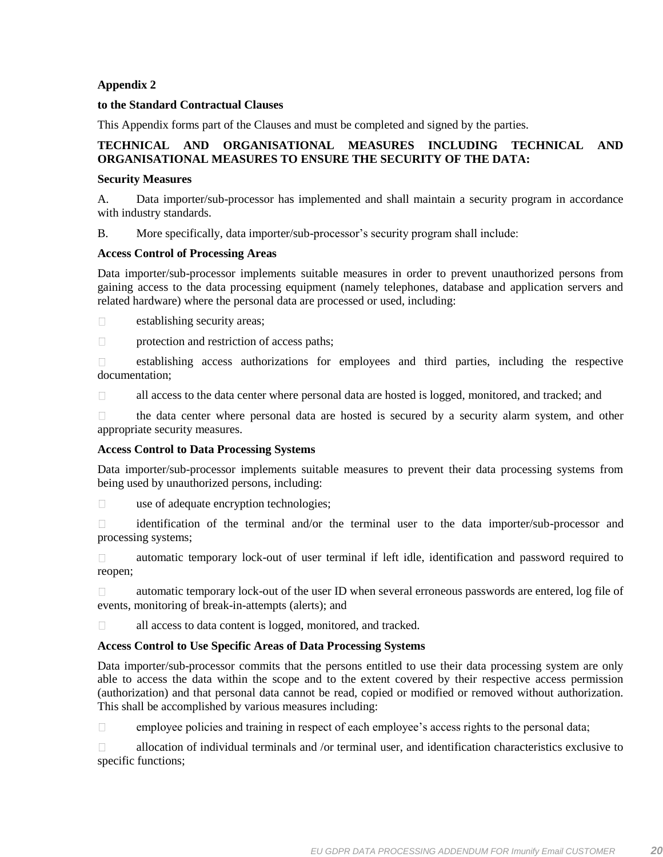## **Appendix 2**

### **to the Standard Contractual Clauses**

This Appendix forms part of the Clauses and must be completed and signed by the parties.

# **TECHNICAL AND ORGANISATIONAL MEASURES INCLUDING TECHNICAL AND ORGANISATIONAL MEASURES TO ENSURE THE SECURITY OF THE DATA:**

### **Security Measures**

A. Data importer/sub-processor has implemented and shall maintain a security program in accordance with industry standards.

B. More specifically, data importer/sub-processor's security program shall include:

### **Access Control of Processing Areas**

Data importer/sub-processor implements suitable measures in order to prevent unauthorized persons from gaining access to the data processing equipment (namely telephones, database and application servers and related hardware) where the personal data are processed or used, including:

 $\Box$ establishing security areas;

 $\Box$ protection and restriction of access paths;

 $\Box$ establishing access authorizations for employees and third parties, including the respective documentation;

 $\Box$ all access to the data center where personal data are hosted is logged, monitored, and tracked; and

 $\Box$ the data center where personal data are hosted is secured by a security alarm system, and other appropriate security measures.

### **Access Control to Data Processing Systems**

Data importer/sub-processor implements suitable measures to prevent their data processing systems from being used by unauthorized persons, including:

 $\Box$ use of adequate encryption technologies;

 $\Box$ identification of the terminal and/or the terminal user to the data importer/sub-processor and processing systems;

automatic temporary lock-out of user terminal if left idle, identification and password required to  $\Box$ reopen;

automatic temporary lock-out of the user ID when several erroneous passwords are entered, log file of  $\Box$ events, monitoring of break-in-attempts (alerts); and

 $\Box$ all access to data content is logged, monitored, and tracked.

### **Access Control to Use Specific Areas of Data Processing Systems**

Data importer/sub-processor commits that the persons entitled to use their data processing system are only able to access the data within the scope and to the extent covered by their respective access permission (authorization) and that personal data cannot be read, copied or modified or removed without authorization. This shall be accomplished by various measures including:

 $\Box$ employee policies and training in respect of each employee's access rights to the personal data;

 $\Box$ allocation of individual terminals and /or terminal user, and identification characteristics exclusive to specific functions;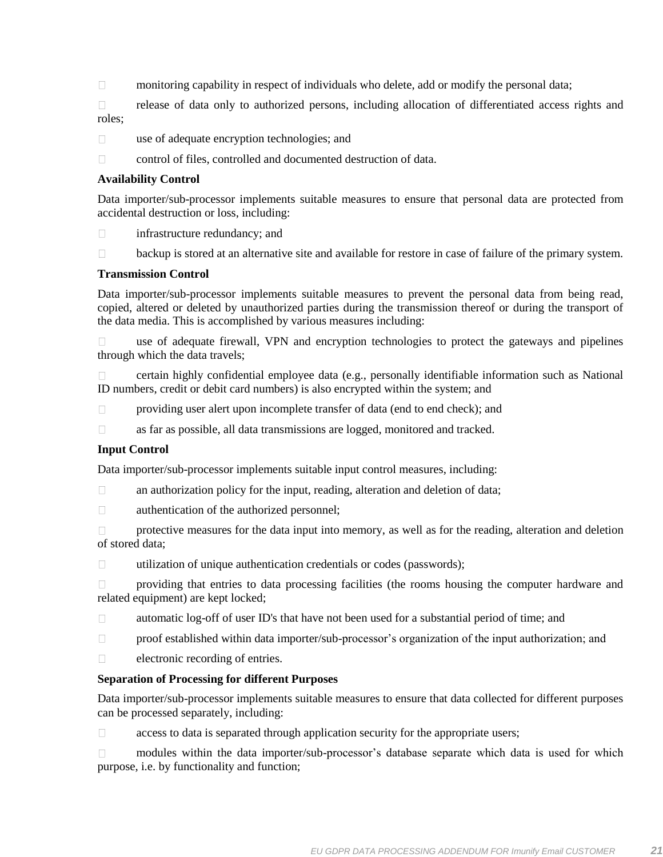- $\Box$ monitoring capability in respect of individuals who delete, add or modify the personal data;
- $\Box$ release of data only to authorized persons, including allocation of differentiated access rights and roles;
- use of adequate encryption technologies; and  $\Box$
- $\Box$ control of files, controlled and documented destruction of data.

### **Availability Control**

Data importer/sub-processor implements suitable measures to ensure that personal data are protected from accidental destruction or loss, including:

- $\Box$ infrastructure redundancy; and
- backup is stored at an alternative site and available for restore in case of failure of the primary system.  $\Box$

### **Transmission Control**

Data importer/sub-processor implements suitable measures to prevent the personal data from being read, copied, altered or deleted by unauthorized parties during the transmission thereof or during the transport of the data media. This is accomplished by various measures including:

 $\Box$ use of adequate firewall, VPN and encryption technologies to protect the gateways and pipelines through which the data travels;

certain highly confidential employee data (e.g., personally identifiable information such as National  $\Box$ ID numbers, credit or debit card numbers) is also encrypted within the system; and

 $\Box$ providing user alert upon incomplete transfer of data (end to end check); and

 $\Box$ as far as possible, all data transmissions are logged, monitored and tracked.

### **Input Control**

Data importer/sub-processor implements suitable input control measures, including:

 $\Box$ an authorization policy for the input, reading, alteration and deletion of data;

 $\Box$ authentication of the authorized personnel;

 $\Box$ protective measures for the data input into memory, as well as for the reading, alteration and deletion of stored data;

 $\Box$ utilization of unique authentication credentials or codes (passwords);

 $\Box$ providing that entries to data processing facilities (the rooms housing the computer hardware and related equipment) are kept locked;

- $\Box$ automatic log-off of user ID's that have not been used for a substantial period of time; and
- proof established within data importer/sub-processor's organization of the input authorization; and  $\Box$
- electronic recording of entries.  $\Box$

### **Separation of Processing for different Purposes**

Data importer/sub-processor implements suitable measures to ensure that data collected for different purposes can be processed separately, including:

 $\Box$ access to data is separated through application security for the appropriate users;

 $\Box$ modules within the data importer/sub-processor's database separate which data is used for which purpose, i.e. by functionality and function;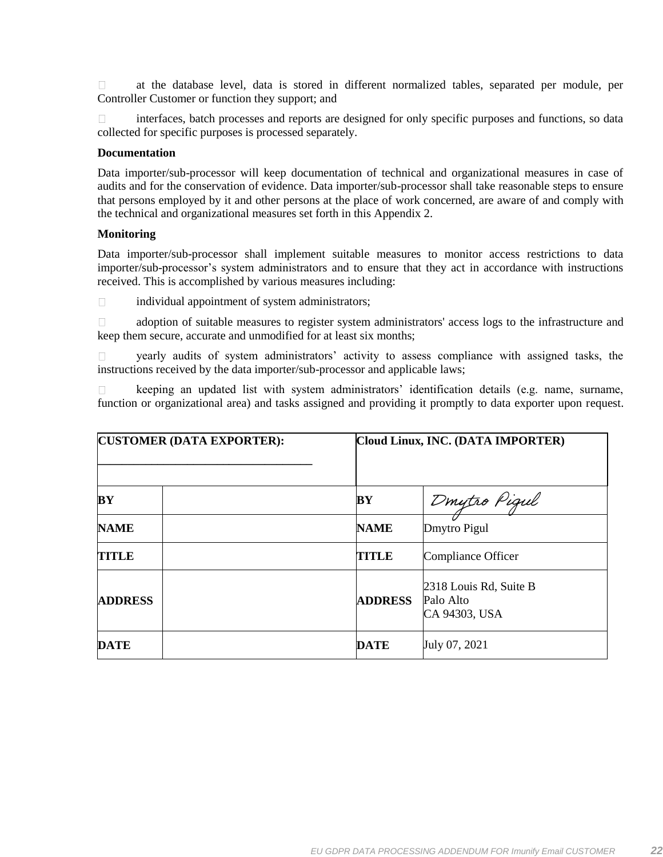at the database level, data is stored in different normalized tables, separated per module, per  $\Box$ Controller Customer or function they support; and

 $\Box$ interfaces, batch processes and reports are designed for only specific purposes and functions, so data collected for specific purposes is processed separately.

#### **Documentation**

Data importer/sub-processor will keep documentation of technical and organizational measures in case of audits and for the conservation of evidence. Data importer/sub-processor shall take reasonable steps to ensure that persons employed by it and other persons at the place of work concerned, are aware of and comply with the technical and organizational measures set forth in this Appendix 2.

### **Monitoring**

Data importer/sub-processor shall implement suitable measures to monitor access restrictions to data importer/sub-processor's system administrators and to ensure that they act in accordance with instructions received. This is accomplished by various measures including:

 $\Box$ individual appointment of system administrators;

adoption of suitable measures to register system administrators' access logs to the infrastructure and  $\Box$ keep them secure, accurate and unmodified for at least six months;

yearly audits of system administrators' activity to assess compliance with assigned tasks, the  $\Box$ instructions received by the data importer/sub-processor and applicable laws;

keeping an updated list with system administrators' identification details (e.g. name, surname,  $\Box$ function or organizational area) and tasks assigned and providing it promptly to data exporter upon request.

| <b>CUSTOMER (DATA EXPORTER):</b> |                | Cloud Linux, INC. (DATA IMPORTER)                    |  |
|----------------------------------|----------------|------------------------------------------------------|--|
| <b>BY</b>                        | BY             | Dmytro Pigul                                         |  |
| <b>NAME</b>                      | <b>NAME</b>    | Dmytro Pigul                                         |  |
| TITLE                            | TITLE          | Compliance Officer                                   |  |
| <b>ADDRESS</b>                   | <b>ADDRESS</b> | 2318 Louis Rd, Suite B<br>Palo Alto<br>CA 94303, USA |  |
| <b>DATE</b>                      | <b>DATE</b>    | July 07, 2021                                        |  |